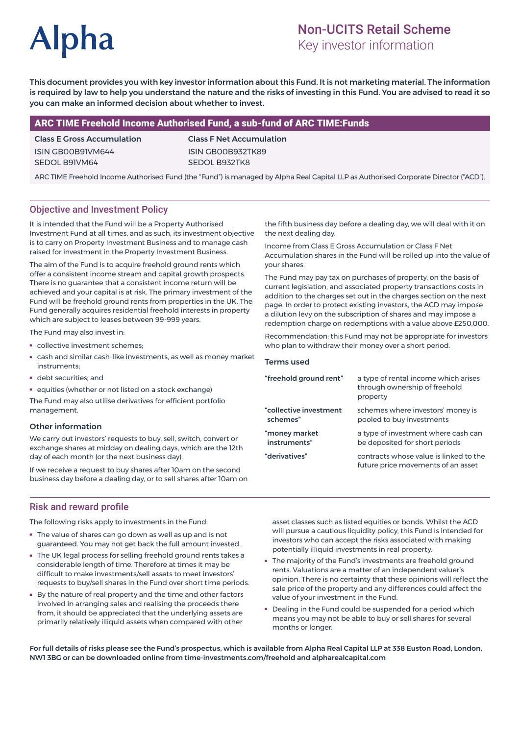# **Alpha**

# Non-UCITS Retail Scheme

Key investor information

This document provides you with key investor information about this Fund. It is not marketing material. The information is required by law to help you understand the nature and the risks of investing in this Fund. You are advised to read it so you can make an informed decision about whether to invest.

#### ARC TIME Freehold Income Authorised Fund, a sub-fund of ARC TIME:Funds

#### Class E Gross Accumulation ISIN GB00B91VM644 SEDOL B91VM64

Class F Net Accumulation ISIN GB00B932TK89 SEDOL B932TK8

ARC TIME Freehold Income Authorised Fund (the "Fund") is managed by Alpha Real Capital LLP as Authorised Corporate Director ("ACD").

### Objective and Investment Policy

It is intended that the Fund will be a Property Authorised Investment Fund at all times, and as such, its investment objective is to carry on Property Investment Business and to manage cash raised for investment in the Property Investment Business.

The aim of the Fund is to acquire freehold ground rents which offer a consistent income stream and capital growth prospects. There is no guarantee that a consistent income return will be achieved and your capital is at risk. The primary investment of the Fund will be freehold ground rents from properties in the UK. The Fund generally acquires residential freehold interests in property which are subject to leases between 99-999 years.

The Fund may also invest in:

- collective investment schemes;
- cash and similar cash-like investments, as well as money market instruments;
- debt securities; and
- equities (whether or not listed on a stock exchange)

The Fund may also utilise derivatives for efficient portfolio management.

#### Other information

We carry out investors' requests to buy, sell, switch, convert or exchange shares at midday on dealing days, which are the 12th day of each month (or the next business day).

If we receive a request to buy shares after 10am on the second business day before a dealing day, or to sell shares after 10am on

the fifth business day before a dealing day, we will deal with it on the next dealing day.

Income from Class E Gross Accumulation or Class F Net Accumulation shares in the Fund will be rolled up into the value of your shares.

The Fund may pay tax on purchases of property, on the basis of current legislation, and associated property transactions costs in addition to the charges set out in the charges section on the next page. In order to protect existing investors, the ACD may impose a dilution levy on the subscription of shares and may impose a redemption charge on redemptions with a value above £250,000.

Recommendation: this Fund may not be appropriate for investors who plan to withdraw their money over a short period.

#### Terms used

| "freehold ground rent" | a type of rental income which arises<br>through ownership of freehold<br>property |
|------------------------|-----------------------------------------------------------------------------------|
| "collective investment | schemes where investors' money is                                                 |
| schemes"               | pooled to buy investments                                                         |
| "money market          | a type of investment where cash can                                               |
| instruments"           | be deposited for short periods                                                    |
| "derivatives"          | contracts whose value is linked to the<br>future price movements of an asset      |

#### Risk and reward profile

The following risks apply to investments in the Fund:

- The value of shares can go down as well as up and is not guaranteed. You may not get back the full amount invested.
- The UK legal process for selling freehold ground rents takes a considerable length of time. Therefore at times it may be difficult to make investments/sell assets to meet investors' requests to buy/sell shares in the Fund over short time periods.
- By the nature of real property and the time and other factors involved in arranging sales and realising the proceeds there from, it should be appreciated that the underlying assets are primarily relatively illiquid assets when compared with other

asset classes such as listed equities or bonds. Whilst the ACD will pursue a cautious liquidity policy, this Fund is intended for investors who can accept the risks associated with making potentially illiquid investments in real property.

- The majority of the Fund's investments are freehold ground rents. Valuations are a matter of an independent valuer's opinion. There is no certainty that these opinions will reflect the sale price of the property and any differences could affect the value of your investment in the Fund.
- Dealing in the Fund could be suspended for a period which means you may not be able to buy or sell shares for several months or longer.

For full details of risks please see the Fund's prospectus, which is available from Alpha Real Capital LLP at 338 Euston Road, London, NW1 3BG or can be downloaded online from time-investments.com/freehold and alpharealcapital.com